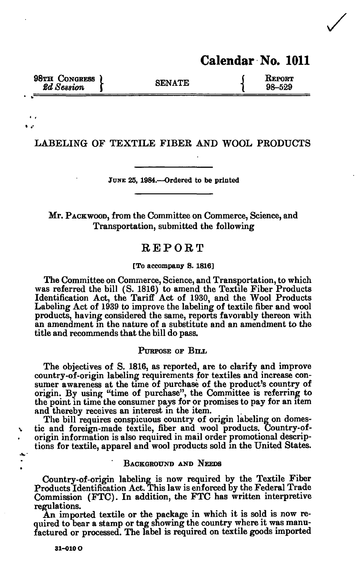# **Calendar No. 1011**

**98TH CONGRESS ) CONGRESS SENATE**  $\begin{array}{c} \text{SENATE} \\ \text{98-529} \end{array}$ **2d** Session **f** SENATE **1** 98-529

**LABELING OF TEXTILE FIBER AND WOOL PRODUCTS** 

**JUNE 25, 1984.—Ordered to be printed** 

**Mr. PACKWOOD, from the Committee on Commerce, Science, and Transportation, submitted the following** 

# REPORT

**[To accompany S. 1816]** 

**The Committee on Commerce, Science, and Transportation, to which was referred the bill (S. 1816) to amend the Textile Fiber Products Identification Act, the Tariff Act of 1930, and the Wool Products Labeling Act of 1939 to improve the labeling of textile fiber and wool products, having considered the same, reports favorably thereon with an amendment in the nature of a substitute and an amendment to the title and recommends that the bill do pass.** 

# **PURPOSE OF BIIA**

**The objectives of S. 1816, as reported, are to clarify and improve country-of-origin labeling requirements for textiles and increase consumer awareness at the time of purchase of the product's country of origin. By using "time of purchase", the Committee is referring to the point in time the consumer pays for or promises to pay for an item and thereby receives an interest in the item.** 

**The bill requires conspicuous country of origin labeling on domestic and foreign-made textile, fiber and wool products. Country-oforigin information is also required in mail order promotional descriptions for textile, apparel and wool products sold in the United States.** 

# **BACKGROUND AND NEEDS**

**Country-of-origin labeling is now required by the Textile Fiber Products Identification Act. This law is enforced by the Federal Trade Commission (FTC). In addition, the FTC has written interpretive regulations.** 

**An imported textile or the package in which it is sold is now re**quired to bear a stamp or tag showing the country where it was manu**factured or processed. The label is required on textile goods imported** 

**31-010 O**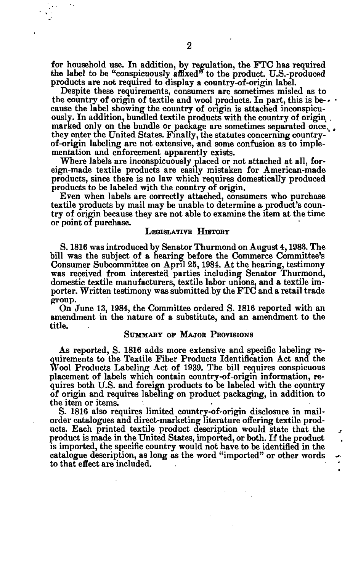for household use. In addition, by regulation, the FTC has required the label to be "conspicuously affixed" to the product. U.S.-produced products are not required to display a country-of-origin label.

Despite these requirements, consumers are sometimes misled as to the country of origin of textile and wool products. In part, this is be- $\cdot \cdot$ cause the label showing the country of origin is attached inconspicuously. In addition, bundled textile products with the country of origin , marked only on the bundle or package are sometimes separated once. they enter the United States. Finally, the statutes concerning countryof-origin labeling are not extensive, and some confusion as to implementation and enforcement apparently exists.

Where labels are inconspicuously placed or not attached at all, foreign-made textile products are easily mistaken for American-made products, since there is no law which requires domestically produced products to be labeled with the country of origin.

Even when labels are correctly attached, consumers who purchase textile products by mail may be unable to determine a product's country of origin because they are not able to examine the item at the time or point of purchase.

# LEGISLATIVE HISTORY

S. 1816 was introduced by Senator Thurmond on August 4,1983. The bill was the subject of a hearing before the Commerce Committee's Consumer Subcommittee on April 25,1984. At the hearing, testimony was received from interested parties including Senator Thurmond, domestic textile manufacturers, textile labor unions, and a textile importer. Written testimony was submitted by the FTC and a retail trade group.

On June 13, 1984, the Committee ordered S. 1816 reported with an amendment in the nature of a substitute, and an amendment to the title.

# SUMMARY OF MAJOR PROVISIONS

As reported, S. 1816 adds more extensive and specific labeling requirements to the Textile Fiber Products Identification Act and the Wool Products Labeling Act of 1939. The bill requires conspicuous placement of labels which contain country-of-origin information, requires both U.S. and foreign products to be labeled with the country of origin and requires labeling on product packaging, in addition to the item or items.

S. 1816 also requires limited country-of-origin disclosure in mailorder catalogues and direct-marketing literature offering textile products. Each printed textile product description would state that the product is made in the United States, imported, or both. If the product is imported, the specific country would not have to be identified in the catalogue description, as long as the word "imported" or other words . to that effect are included.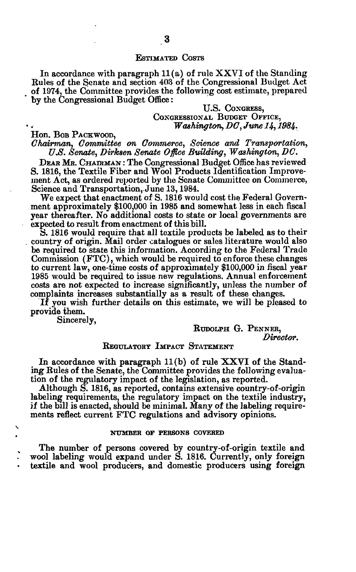# ESTIMATED COSTS

In accordance with paragraph  $11(a)$  of rule XXVI of the Standing Eules of the Senate and section 403 of the Congressional Budget Act of 1974, the Committee provides the following cost estimate, prepared by the Congressional Budget Office:

# U.S. COXGRESS, CONGRESSIONAL BUDGET OFFICE, *Washington, DC, June 14,1984.*

Hon. BOB PACKWOOD,

*Chairman, Committee on Commerce, Science and Transportation, U.S. Senate, Dirksen Senate Office Building, Washington, DC.* 

DEAR MR. CHAIRMAN : The Congressional Budget Office has reviewed S. 1816, the Textile Fiber and Wool Products Identification Improvement Act, as ordered reported by the Senate Committee on Commerce, Science and Transportation, June 13, 1984.

We expect that enactment of S. 1816 would cost the Federal Government approximately \$100,000 in 1985 and somewhat less in each fiscal year thereafter. No additional costs to state or local governments are expected to result from enactment of this bill.

S. 1816 would require that all textile products be labeled as to their . country of origin. Mail order catalogues or sales literature would also be required to state this information. According to the Federal Trade Commission (FTC), which would be required to enforce these changes to current law, one-time costs of approximately \$100,000 in fiscal year 1985 would be required to issue new regulations. Annual enforcement costs are not expected to increase significantly, unless the number of complaints increases substantially as a result of these changes.

If you wish further details on this estimate, we will be pleased to provide them.

Sincerely,

V

RUDOLPH G. PENNER, *Director.* 

# REGULATORT IMPACT STATEMENT

In accordance with paragraph  $11(b)$  of rule XXVI of the Standing Rules of the Senate, the Committee provides the following evaluation of the regulatory impact of the legislation, as reported.

Although S. 1816, as reported, contains extensive country-of-origin labeling requirements, the regulatory impact on the textile industry, if the bill is enacted, should be minimal. Many of the labeling requirements reflect current FTC regulations and advisory opinions.

#### **NUMBER OF PERSONS COVERED**

The number of persons covered by country-of-origin textile and wool labeling would expand under S. 1816. Currently, only foreign textile and wool producers, and domestic producers using foreign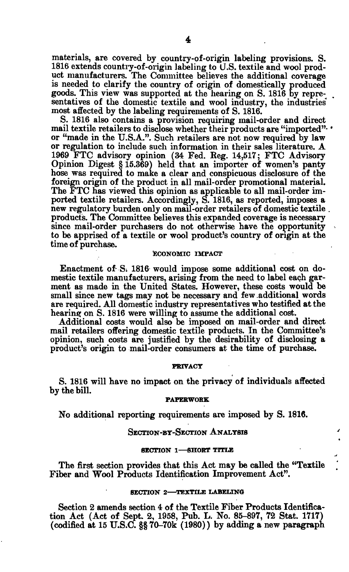materials, are covered by country-of-origin labeling provisions. S. 1816 extends country-of-origin labeling to U.S. textile and wool product manufacturers. The Committee believes the additional coverage is needed to clarify the country of origin of domestically produced goods. This view was supported at the hearing on S. 1816 by representatives of the domestic textile and wool industry, the industries' most affected by the labeling requirements of S. 1816.

S. 1816 also contains a provision requiring mail-order and direct mail textile retailers to disclose whether their products are "imported". . or "made in the U.S.A.". Such retailers are not now required by law or regulation to include such information in their sales literature. A 1969 FTC advisory opinion (34 Fed. Keg. 14,517; FTC Advisory Opinion Digest § 15.369) held that an importer of women's panty hose was required to make a clear and conspicuous disclosure of the foreign origin of the product in all mail-order promotional material. The FTC has viewed this opinion as applicable to all mail-order imported textile retailers. Accordingly, S. 1816, as reported, imposes a new regulatory burden only on mail-order retailers of domestic textile . products. The Committee believes this expanded coverage is necessary since mail-order purchasers do not otherwise have the opportunity to be apprised of a textile or wool product's country of origin at the time of purchase.

# ECONOMIC IMPACT

Enactment of- S; 1816 would impose some additional cost on domestic textile manufacturers, arising from the need to label each garment as made in the United States. However, these costs would be small since new tags may not be necessary and few .additional words are required. All domestic industry representatives who testified at the hearing on S. 1816 were willing to assume the additional cost.

Additional costs would also be imposed on mail-order and direct mail retailers offering domestic textile products. In the Committee's opinion, such costs are justified by the desirability of disclosing a product's origin to mail-order consumers at the time of purchase.

# **PRIVACY**

S. 1816 will have no impact on the privacy of individuals affected by the bill.

#### **PAPERWORK**

No additional reporting requirements are imposed by S. 1816.

# SECTION-BY-SECTION ANALYSIS

#### SECTION 1—SHORT TITLE

The first section provides that this Act may be called the "Textile Fiber and Wool Products Identification Improvement Act".

#### **SECTION 2—TEXTILE LABELING**

Section 2 amends section 4 of the Textile Fiber Products Identification Act (Act of Sept. 2, 1958, Pub. L. No. 85-897, 72 Stat. 1717) (codified at 15 U.S.C. §§ 70-70k (1980)) by adding a new paragraph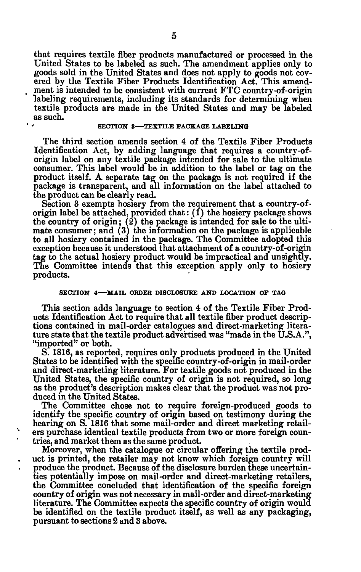that requires textile fiber products manufactured or processed in the United States to be labeled as such. The amendment applies only to goods sold in the United States and does not apply to goods not covered by the Textile Fiber Products Identification Act. This amendment is intended to be consistent with current FTC country-of-origin labeling requirements, including its standards for determining when textile products are made in the United States and may be labeled as such.

### **SECTION 3—TEXTILE PACKAGE LABELING**

The third section amends section 4 of the Textile Fiber Products Identification Act, by adding language that requires a country-oforigin label on any textile package intended for sale to the ultimate consumer. This label would be in addition to the label or tag on the product itself. A separate tag on the package is not required if the package is transparent, and all information on the label attached to the product can be clearly read.

Section 3 exempts hosiery from the requirement that a country-oforigin label be attached, provided that:  $(i)$  the hosiery package shows the country of origin;  $(2)$  the package is intended for sale to the ultimate consumer; and (3) the information on the package is applicable to all hosiery contained in the package. The Committee adopted this exception because it understood that attachment of a country-of-origin tag to the actual hosiery product would be impractical and unsightly. The Committee intends that this exception apply only to hosiery products.

# **SECTION 4—MAIL ORDER DISCLOSURE AND LOCATION OP TAG**

This section adds language to section 4 of the Textile Fiber Products Identification Act to require that all textile fiber product descriptions contained in mail-order catalogues and direct-marketing literature state that the textile product advertised was "made in the U.S.A.", "imported" or both.

S. 1816, as reported, requires only products produced in the United States to be identified with the specific country-of-origin in mail-order and direct-marketing literature. For textile goods not produced in the United States, the specific country of origin is not required, so long as the product's description makes clear that the product was not produced in the United States.

The Committee chose not to require foreign-produced goods to identify the specific country of origin based on testimony during the hearing on S. 1816 that some mail-order and direct marketing retailers purchase identical textile products from two or more foreign countries, and market them as the same product.

Moreover, when the catalogue or circular offering the textile product is printed, the retailer may not know which foreign country will produce the product. Because of the disclosure burden these uncertainties potentially impose on mail-order and direct-marketing retailers, the Committee concluded that identification of the specific foreign country of origin was not necessary in mail-order and direct-marketing literature. The Committee expects the specific country of origin would be identified on the textile product itself, as well as any packaging, pursuant to sections 2 and 3 above.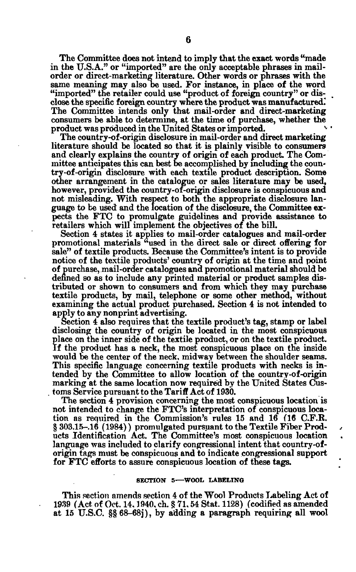The Committee does not intend to imply that the exact words "made in the U.S.A." or "imported" are the only acceptable phrases in mailorder or direct-marketing literature. Other words or phrases with the same meaning may also be used. For instance, in place of the word "imported" the retailer could use "product of foreign country" or disclose the specific foreign country where the product was manufactured.' The Committee intends only that mail-order and direct-marketing consumers be able to determine, at the time of purchase, whether the product was produced in the United States or imported. \*•

The country-of -origin disclosure in mail-order and direct marketing literature should be located so that it is plainly visible to consumers and clearly explains the country of origin of each product. The Committee anticipates this can best be accomplished by including the country-of-origin disclosure with each textile product description. Some other arrangement in the catalogue or sales literature may be used, however, provided the country-of-origin disclosure is conspicuous and not misleading. With respect to both the appropriate disclosure language to be used and the location of the disclosure, the Committee expects the FTC to promulgate guidelines and provide assistance to retailers which will implement the objectives of the bill.

Section 4 states it applies to mail-order catalogues and mail-order promotional materials <sup>a</sup>used in the direct sale or direct offering for sale" of textile products. Because the Committee's intent is to provide notice of the textile products' country of origin at the time and point of purchase, mail-order catalogues and promotional material should be defined so as to include any printed material or product samples distributed or shown to consumers and from which they may purchase textile products, by mail, telephone or some other method, without examining the actual product purchased. Section 4 is not intended to apply to any nonprint advertising.

Section 4 also requires that the textile product's tag, stamp or label disclosing the country of origin be located in the most conspicuous place on the inner side of the textile product, or on the textile product. If the product has a neck, the most conspicuous place on the inside would be the center of the neck, midway between the shoulder seams. This specific language concerning textile products with necks is intended by the Committee to allow location of the country-of-origin marking at the same location now required by the United States Cus- . toms Service pursuant to the Tariff Act of 1930.

The section 4 provision concerning the most conspicuous location is not intended to change the FTC's interpretation of conspicuous location as required in the Commission's rules 15 and 16 (16 C.F.R. § 303.15-.16 (1984)) promulgated pursuant to the Textile Fiber Products Identification Act. The Committee's most conspicuous location language was included to clarify congressional intent that country-oforigin tags must be conspicuous and to indicate congressional support for FTC efforts to assure conspicuous location of these tags.

### **SECTION 5—WOOL LABELING**

This section amends section 4 of the Wool Products Labeling Act of 1939 (Act. of Oct. 14,1940. ch. § 71,54 Stat. 1128) (codified as amended at 15 U.S.C. §§ 68-68J), by adding a paragraph requiring all wool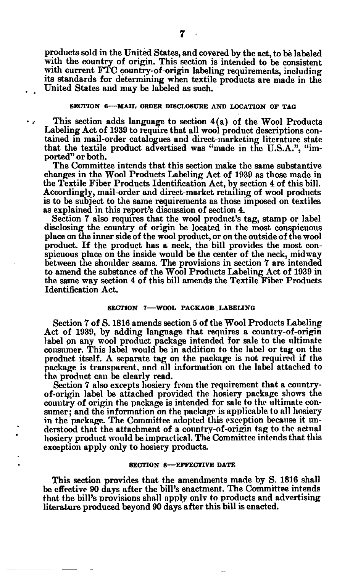products sold in the United States, and covered by the act, to be labeled with the country of origin. This section is intended to be consistent with current FTC country-of-origin labeling requirements, including its standards for determining when textile products are made in the United States and may be labeled as such.

# **SECTION 6--MAIL ORDER DISCLOSURE AND LOCATION OF TAG**

This section adds language to section  $4(a)$  of the Wool Products Labeling Act of 1939 to require that all wool product descriptions contained in mail-order catalogues and direct-marketing literature state that the textile product advertised was "made in the U.S.A.", "imported" or both.

The Committee intends that this section make the same substantive changes in the Wool Products Labeling Act of 1939 as those made in the Textile Fiber Products Identification Act, by section 4 of this bill. Accordingly, mail-order and direct-market retailing of wool products is to be subject to the same requirements as those imposed on textiles as explained in this report's discussion of section 4.

Section 7 also requires that the wool product's tag, stamp or label disclosing the country of origin be located in the most conspicuous place on the inner side of the wool product, or on the outside of the wool product. If the product has a neck, the bill provides the most conspicuous place on the inside would be the center of the neck, midway between the shoulder seams. The provisions in section 7 are intended to amend the substance of the Wool Products Labeling Act of 1939 in the same way section 4 of this bill amends the Textile Fiber Products Identification Act.

# **SECTION 7—WOOL PACKAGE LABELING**

Section 7 of S. 1816 amends section 5 of the Wool Products Labeling Act of 1939, by adding language that requires a country-of-origin label on any wool product package intended for sale to the ultimate consumer. This label would be in addition to the label or tag on the product itself. A separate tag on the package is not required if the package is transparent, and all information on the label attached to the product can be clearly read.

Section 7 also excepts hosiery from the requirement that a countryof-origin label be attached provided the hosiery package shows the country of origin the package is intended for sale to the ultimate consumer; and the information on the package is applicable to all hosiery in the package. The Committee adopted this exception because it understood that the attachment of a country-of-origin tag to the actual hosiery product would be impractical. The Committee intends that this exception apply only to hosiery products.

#### **SECTION 8—EFFECTIVE DATE**

This section provides that the amendments made by S. 1816 shall be effective 90 days after the bill's enactment. The Committee intends that the bill's provisions shall apply only to products and advertising literature produced beyond 90 days after this bill is enacted.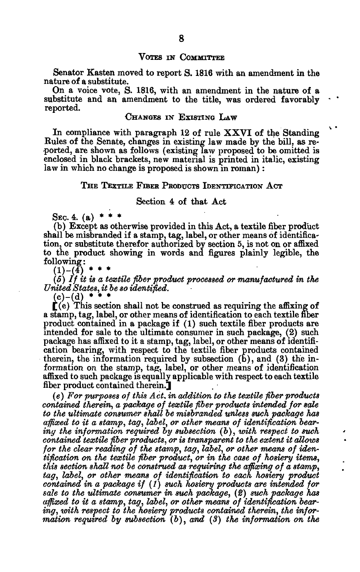#### VOTES IN COMMITTEE

Senator Kasten moved to report S. 1816 with an amendment in the nature of a substitute.

On a voice vote, S. 1816, with an amendment in the nature of a substitute and an amendment to the title, was ordered favorably reported.

# CHANGES IN EXISTING LAW

*\ •* 

In compliance with paragraph 12 of rule XXVI of the Standing Rules of the Senate, changes in existing law made by the bill, as reported, are shown as follows (existing law proposed to be omitted is enclosed in black brackets, new material is printed in italic, existing law in which no change is proposed is shown in roman):

### THE TEXTILE FIBER PRODUCTS IDENTIFICATION ACT

# Section 4 of that Act

SEC. 4.  $(a)$ 

(b) Except as otherwise provided in this Act, a textile fiber product shall be misbranded if a stamp, tag, label, or other means of identification, or substitute therefor authorized by section 5, is not on or affixed to the product showing in words and figures plainly legible, the following:

 $(1)-(4)$ 

(5) / / *it is a textile fber product processed or manufactured in the United States, it be so identified.* 

 $(c)-(d)$  \*

 $\mathbf{f}(\mathbf{e})$  This section shall not be construed as requiring the affixing of a stamp, tag, label, or other means of identification to each textile fiber product contained in a package if (1) such textile fiber products are intended for sale to the ultimate consumer in such package, (2) such package has affixed to it a stamp, tag, label, or other means of identification bearing, with respect to the textile fiber products contained therein, the information required by subsection  $(b)$ , and  $(3)$  the information on the stamp, tag, label, or other means of identification affixed to such package is equally applicable with respect to each textile fiber product contained therein.]

*(e) For purposes of this Act. in addition to the textile fiber products contained therein, a package of textile fiber products intended for sale to the ultimate consumer shall be misbranded unless such package has affixed to it a stamp, tag, label, or other means of identification bearing the information required by subsection (b), with respect to such contained textile fiber products, or is transparent to the extent it allows for the clear reading of the stamp, tag, label, or other means of identification on the textile fiber product, or in the case of hosiery items, this section shall not be construed as requiring the affixing of a stamp, tag, label, or other means of identification to each hosiery product contained in a package if (1) such hosiery products are intended for sale to the ultimate consumer in such package, (2) such package has affixed to it a stamp, tag, label, or other means of identification bearing, xoith respect to the hosiery products contained therein, the information required by subsection (b), and (3) the information on the*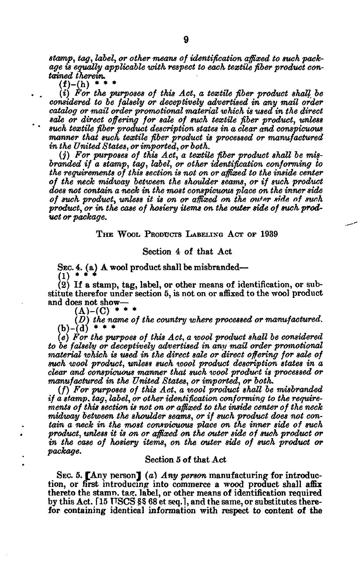*stamp, tag, label, or other means of identification affixed to such package is equally applicable with respect to each textile fiber product contained therein.* 

 $(f)-(h)$  \* \*

. . *(i) For the purposes of this Act, a textile fiber product shall be considered to be falsely or deceptively advertised in any mail order catalog or mail order promotional material which is used in the direct sale or direct offering for sale of such textile fiber product, unless ' ' such textile fiber product description states in a clear and conspicuous manner that such textile fiber product is processed or manufactured* 

*in the United States, or imported, or both.* 

*(j) For purposes of this Act, a textile fiber product shall be misbranded if a stamp, tag, label, or other identification conforming to the requirements of this section is not on or affixed to the inside center of the neck midway between the shoulder seams, or if such product does not contain a neck in the most conspicuous place on the inner side of such product, unless it is on or affixed on the outer side of swh*  product, or in the case of hosiery items on the outer side of such prod*uct or package.* 

# THE WOOL PRODUCTS LABELING ACT OF 1939

# Section 4 of that Act

Sec. 4. (a) A wool product shall be misbranded— $(1)$  \* \* \*  $\left(1\right)$   $\frac{1}{2}$   $\frac{1}{2}$   $\frac{1}{2}$ 

 $(2)$  If a stamp, tag, label, or other means of identification, or substitute therefor under section 5, is not on or affixed to the wool product and does not show—

 $(A)$ - $(C)$  \* \* \*

*(D) the name of the country where processed or manufactured.*   $(b)-(d)$  \* \* \*

*(e) For the purpoes of this Act, a wool product shall be considered to be falsely or deceptively advertised in any mail order promotional material which is used in the direct sale or direct offering for sale of such wool product, unless such wool product description states in a clear and conspicuous manner that such wool product is processed or manufactured in the United States, or imported, or both.* 

(/) *For purposes of this Act, a wool product shall be misbranded if a stamp, tag, label, or other identification conforming to the requirements of this section is not on or affixed to the inside center of the neck midway between the shoulder seams, or if such product does not contain a neck in the most consmcuous place on the inner side of such product, unless it is on or affixed on the outer side of such product or in the case of hosiery items, on the outer side of such product or package.* 

# Section 5 of that Act

SEC. 5. [Any person J *(a) Any person* manufacturing for introduction, or first introducing into commerce a wood product shall affix thereto the stamn. tag. label, or other means of identification required by this Act. [15 USCS §§ 68 et seq.], and the same, or substitutes therefor containing identical information with respect to content of the